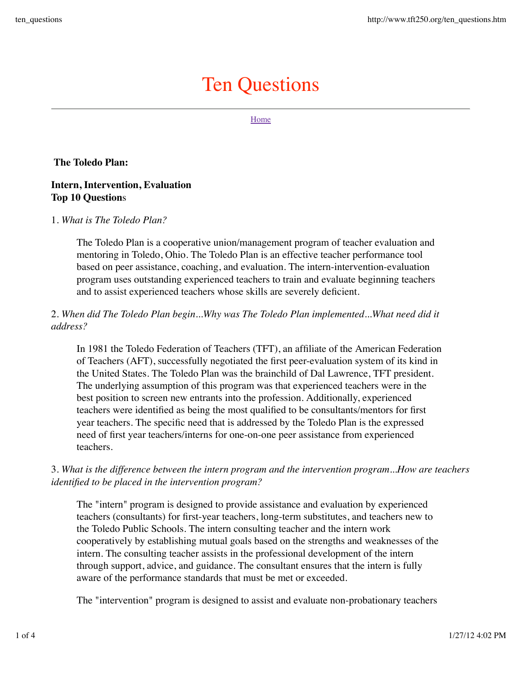# Ten Questions

Home

**The Toledo Plan:**

## **Intern, Intervention, Evaluation Top 10 Question**s

#### 1. *What is The Toledo Plan?*

The Toledo Plan is a cooperative union/management program of teacher evaluation and mentoring in Toledo, Ohio. The Toledo Plan is an effective teacher performance tool based on peer assistance, coaching, and evaluation. The intern-intervention-evaluation program uses outstanding experienced teachers to train and evaluate beginning teachers and to assist experienced teachers whose skills are severely deficient.

# 2. *When did The Toledo Plan begin...Why was The Toledo Plan implemented...What need did it address?*

In 1981 the Toledo Federation of Teachers (TFT), an affiliate of the American Federation of Teachers (AFT), successfully negotiated the first peer-evaluation system of its kind in the United States. The Toledo Plan was the brainchild of Dal Lawrence, TFT president. The underlying assumption of this program was that experienced teachers were in the best position to screen new entrants into the profession. Additionally, experienced teachers were identified as being the most qualified to be consultants/mentors for first year teachers. The specific need that is addressed by the Toledo Plan is the expressed need of first year teachers/interns for one-on-one peer assistance from experienced teachers.

## 3. *What is the difference between the intern program and the intervention program...How are teachers identified to be placed in the intervention program?*

The "intern" program is designed to provide assistance and evaluation by experienced teachers (consultants) for first-year teachers, long-term substitutes, and teachers new to the Toledo Public Schools. The intern consulting teacher and the intern work cooperatively by establishing mutual goals based on the strengths and weaknesses of the intern. The consulting teacher assists in the professional development of the intern through support, advice, and guidance. The consultant ensures that the intern is fully aware of the performance standards that must be met or exceeded.

The "intervention" program is designed to assist and evaluate non-probationary teachers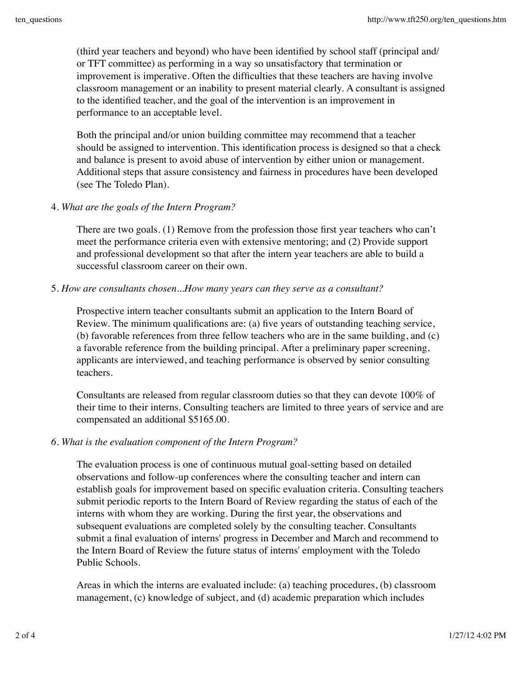(third year teachers and beyond) who have been identified by school staff (principal and/ or TFT committee) as performing in a way so unsatisfactory that termination or improvement is imperative. Often the difficulties that these teachers are having involve classroom management or an inability to present material clearly. A consultant is assigned to the identified teacher, and the goal of the intervention is an improvement in performance to an acceptable level.

Both the principal and/or union building committee may recommend that a teacher should be assigned to intervention. This identification process is designed so that a check and balance is present to avoid abuse of intervention by either union or management. Additional steps that assure consistency and fairness in procedures have been developed (see The Toledo Plan).

#### 4. *What are the goals of the Intern Program?*

There are two goals. (1) Remove from the profession those first year teachers who can't meet the performance criteria even with extensive mentoring; and (2) Provide support and professional development so that after the intern year teachers are able to build a successful classroom career on their own.

5. *How are consultants chosen...How many years can they serve as a consultant?*

Prospective intern teacher consultants submit an application to the Intern Board of Review. The minimum qualifications are: (a) five years of outstanding teaching service, (b) favorable references from three fellow teachers who are in the same building, and (c) a favorable reference from the building principal. After a preliminary paper screening, applicants are interviewed, and teaching performance is observed by senior consulting teachers.

Consultants are released from regular classroom duties so that they can devote 100% of their time to their interns. Consulting teachers are limited to three years of service and are compensated an additional \$5165.00.

#### *6. What is the evaluation component of the Intern Program?*

The evaluation process is one of continuous mutual goal-setting based on detailed observations and follow-up conferences where the consulting teacher and intern can establish goals for improvement based on specific evaluation criteria. Consulting teachers submit periodic reports to the Intern Board of Review regarding the status of each of the interns with whom they are working. During the first year, the observations and subsequent evaluations are completed solely by the consulting teacher. Consultants submit a final evaluation of interns' progress in December and March and recommend to the Intern Board of Review the future status of interns' employment with the Toledo Public Schools.

Areas in which the interns are evaluated include: (a) teaching procedures, (b) classroom management, (c) knowledge of subject, and (d) academic preparation which includes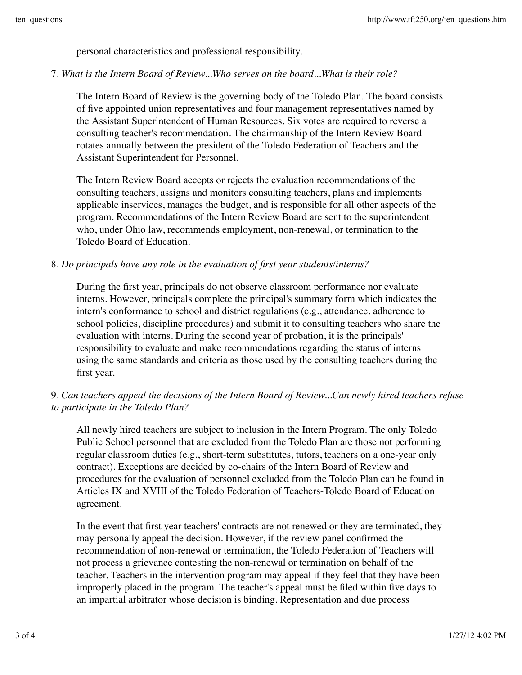personal characteristics and professional responsibility.

## 7. *What is the Intern Board of Review...Who serves on the board...What is their role?*

The Intern Board of Review is the governing body of the Toledo Plan. The board consists of five appointed union representatives and four management representatives named by the Assistant Superintendent of Human Resources. Six votes are required to reverse a consulting teacher's recommendation. The chairmanship of the Intern Review Board rotates annually between the president of the Toledo Federation of Teachers and the Assistant Superintendent for Personnel.

The Intern Review Board accepts or rejects the evaluation recommendations of the consulting teachers, assigns and monitors consulting teachers, plans and implements applicable inservices, manages the budget, and is responsible for all other aspects of the program. Recommendations of the Intern Review Board are sent to the superintendent who, under Ohio law, recommends employment, non-renewal, or termination to the Toledo Board of Education.

## 8. *Do principals have any role in the evaluation of first year students/interns?*

During the first year, principals do not observe classroom performance nor evaluate interns. However, principals complete the principal's summary form which indicates the intern's conformance to school and district regulations (e.g., attendance, adherence to school policies, discipline procedures) and submit it to consulting teachers who share the evaluation with interns. During the second year of probation, it is the principals' responsibility to evaluate and make recommendations regarding the status of interns using the same standards and criteria as those used by the consulting teachers during the first year.

# 9. *Can teachers appeal the decisions of the Intern Board of Review...Can newly hired teachers refuse to participate in the Toledo Plan?*

All newly hired teachers are subject to inclusion in the Intern Program. The only Toledo Public School personnel that are excluded from the Toledo Plan are those not performing regular classroom duties (e.g., short-term substitutes, tutors, teachers on a one-year only contract). Exceptions are decided by co-chairs of the Intern Board of Review and procedures for the evaluation of personnel excluded from the Toledo Plan can be found in Articles IX and XVIII of the Toledo Federation of Teachers-Toledo Board of Education agreement.

In the event that first year teachers' contracts are not renewed or they are terminated, they may personally appeal the decision. However, if the review panel confirmed the recommendation of non-renewal or termination, the Toledo Federation of Teachers will not process a grievance contesting the non-renewal or termination on behalf of the teacher. Teachers in the intervention program may appeal if they feel that they have been improperly placed in the program. The teacher's appeal must be filed within five days to an impartial arbitrator whose decision is binding. Representation and due process